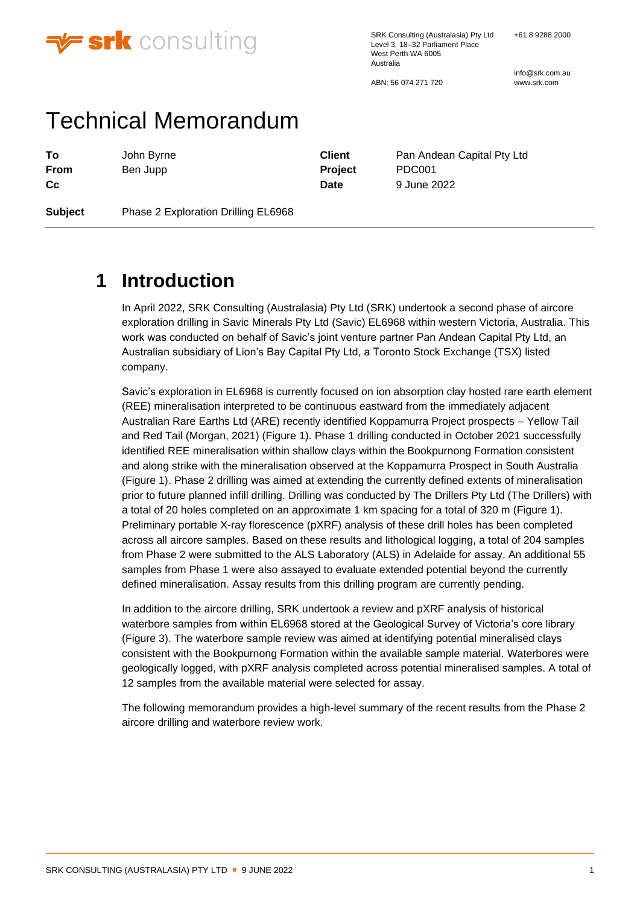

SRK Consulting (Australasia) Pty Ltd Level 3, 18–32 Parliament Place West Perth WA 6005 Australia

ABN: 56 074 271 720

info@srk.com.au [www.srk.com](http://www.srk.com/)

# Technical Memorandum

| To      | John Byrne                          | <b>Client</b>  | Pan Andean Capital Pty Ltd |
|---------|-------------------------------------|----------------|----------------------------|
| From    | Ben Jupp                            | <b>Project</b> | PDC001                     |
| Сc      |                                     | Date           | 9 June 2022                |
| Subject | Phase 2 Exploration Drilling EL6968 |                |                            |

## **1 Introduction**

In April 2022, SRK Consulting (Australasia) Pty Ltd (SRK) undertook a second phase of aircore exploration drilling in Savic Minerals Pty Ltd (Savic) EL6968 within western Victoria, Australia. This work was conducted on behalf of Savic's joint venture partner Pan Andean Capital Pty Ltd, an Australian subsidiary of Lion's Bay Capital Pty Ltd, a Toronto Stock Exchange (TSX) listed company.

Savic's exploration in EL6968 is currently focused on ion absorption clay hosted rare earth element (REE) mineralisation interpreted to be continuous eastward from the immediately adjacent Australian Rare Earths Ltd (ARE) recently identified Koppamurra Project prospects – Yellow Tail and Red Tail (Morgan, 2021) [\(Figure 1\)](#page-1-0). Phase 1 drilling conducted in October 2021 successfully identified REE mineralisation within shallow clays within the Bookpurnong Formation consistent and along strike with the mineralisation observed at the Koppamurra Prospect in South Australia (Figure 1). Phase 2 drilling was aimed at extending the currently defined extents of mineralisation prior to future planned infill drilling. Drilling was conducted by The Drillers Pty Ltd (The Drillers) with a total of 20 holes completed on an approximate 1 km spacing for a total of 320 m [\(Figure 1\)](#page-1-0). Preliminary portable X-ray florescence (pXRF) analysis of these drill holes has been completed across all aircore samples. Based on these results and lithological logging, a total of 204 samples from Phase 2 were submitted to the ALS Laboratory (ALS) in Adelaide for assay. An additional 55 samples from Phase 1 were also assayed to evaluate extended potential beyond the currently defined mineralisation. Assay results from this drilling program are currently pending.

In addition to the aircore drilling, SRK undertook a review and pXRF analysis of historical waterbore samples from within EL6968 stored at the Geological Survey of Victoria's core library [\(Figure 3\)](#page-4-0). The waterbore sample review was aimed at identifying potential mineralised clays consistent with the Bookpurnong Formation within the available sample material. Waterbores were geologically logged, with pXRF analysis completed across potential mineralised samples. A total of 12 samples from the available material were selected for assay.

The following memorandum provides a high-level summary of the recent results from the Phase 2 aircore drilling and waterbore review work.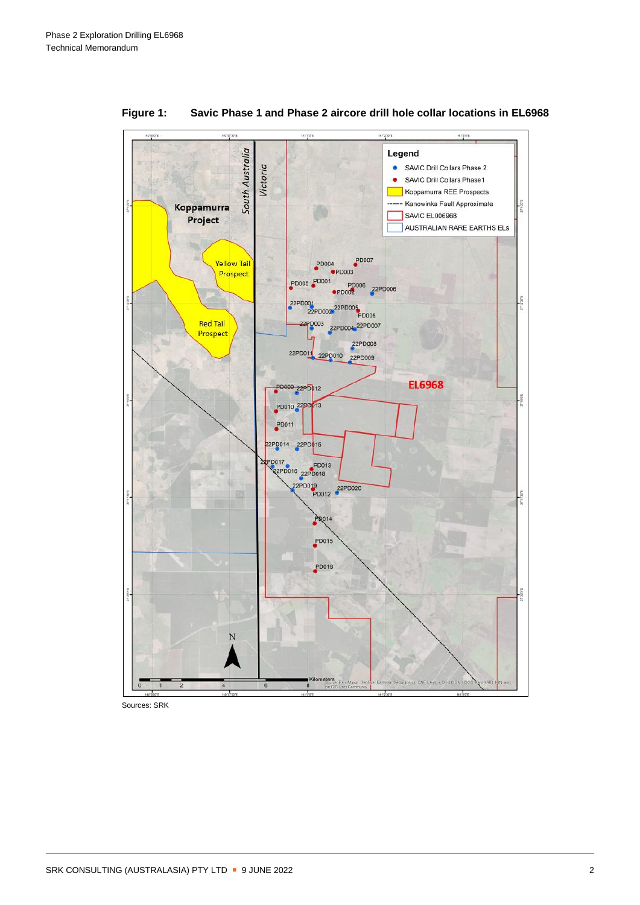

<span id="page-1-0"></span>**Figure 1: Savic Phase 1 and Phase 2 aircore drill hole collar locations in EL6968**

Sources: SRK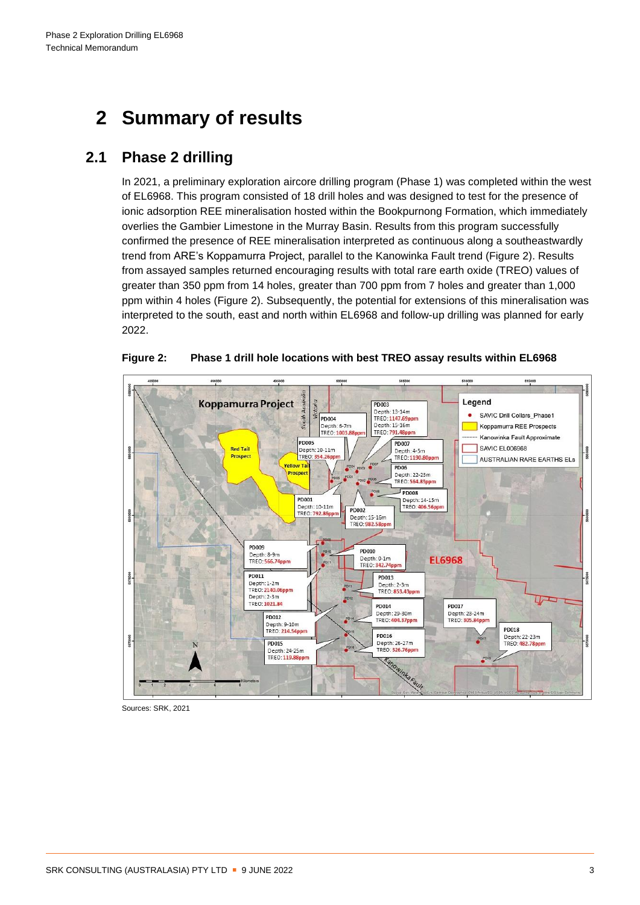## **2 Summary of results**

### **2.1 Phase 2 drilling**

In 2021, a preliminary exploration aircore drilling program (Phase 1) was completed within the west of EL6968. This program consisted of 18 drill holes and was designed to test for the presence of ionic adsorption REE mineralisation hosted within the Bookpurnong Formation, which immediately overlies the Gambier Limestone in the Murray Basin. Results from this program successfully confirmed the presence of REE mineralisation interpreted as continuous along a southeastwardly trend from ARE's Koppamurra Project, parallel to the Kanowinka Fault trend [\(Figure 2\)](#page-2-0). Results from assayed samples returned encouraging results with total rare earth oxide (TREO) values of greater than 350 ppm from 14 holes, greater than 700 ppm from 7 holes and greater than 1,000 ppm within 4 holes [\(Figure 2\)](#page-2-0). Subsequently, the potential for extensions of this mineralisation was interpreted to the south, east and north within EL6968 and follow-up drilling was planned for early 2022.



<span id="page-2-0"></span>**Figure 2: Phase 1 drill hole locations with best TREO assay results within EL6968**

Sources: SRK, 2021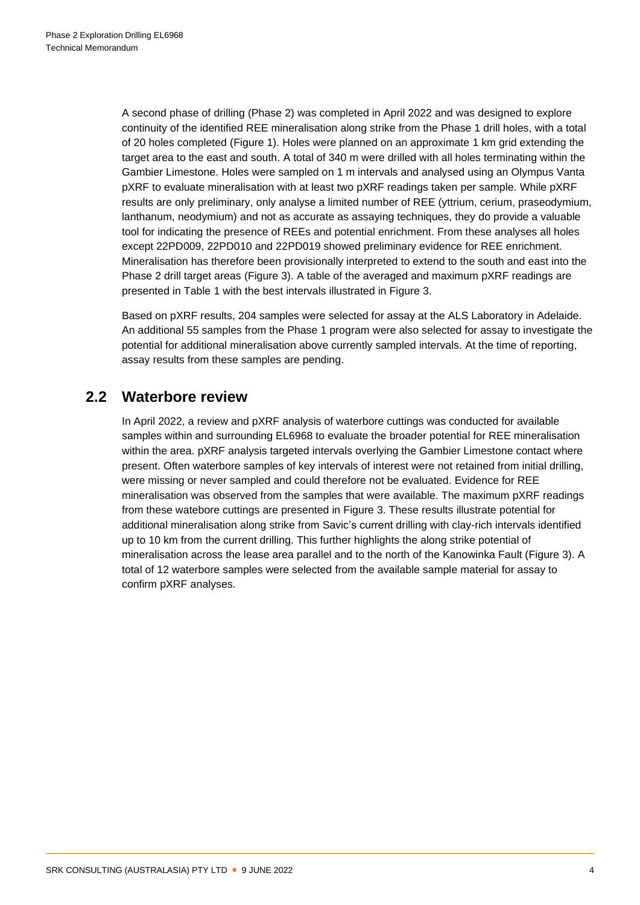A second phase of drilling (Phase 2) was completed in April 2022 and was designed to explore continuity of the identified REE mineralisation along strike from the Phase 1 drill holes, with a total of 20 holes completed [\(Figure 1\)](#page-1-0). Holes were planned on an approximate 1 km grid extending the target area to the east and south. A total of 340 m were drilled with all holes terminating within the Gambier Limestone. Holes were sampled on 1 m intervals and analysed using an Olympus Vanta pXRF to evaluate mineralisation with at least two pXRF readings taken per sample. While pXRF results are only preliminary, only analyse a limited number of REE (yttrium, cerium, praseodymium, lanthanum, neodymium) and not as accurate as assaying techniques, they do provide a valuable tool for indicating the presence of REEs and potential enrichment. From these analyses all holes except 22PD009, 22PD010 and 22PD019 showed preliminary evidence for REE enrichment. Mineralisation has therefore been provisionally interpreted to extend to the south and east into the Phase 2 drill target areas [\(Figure 3\)](#page-4-0). A table of the averaged and maximum pXRF readings are presented in [Table 1](#page-5-0) with the best intervals illustrated in [Figure 3.](#page-4-0)

Based on pXRF results, 204 samples were selected for assay at the ALS Laboratory in Adelaide. An additional 55 samples from the Phase 1 program were also selected for assay to investigate the potential for additional mineralisation above currently sampled intervals. At the time of reporting, assay results from these samples are pending.

### **2.2 Waterbore review**

In April 2022, a review and pXRF analysis of waterbore cuttings was conducted for available samples within and surrounding EL6968 to evaluate the broader potential for REE mineralisation within the area. pXRF analysis targeted intervals overlying the Gambier Limestone contact where present. Often waterbore samples of key intervals of interest were not retained from initial drilling, were missing or never sampled and could therefore not be evaluated. Evidence for REE mineralisation was observed from the samples that were available. The maximum pXRF readings from these watebore cuttings are presented in [Figure 3.](#page-4-0) These results illustrate potential for additional mineralisation along strike from Savic's current drilling with clay-rich intervals identified up to 10 km from the current drilling. This further highlights the along strike potential of mineralisation across the lease area parallel and to the north of the Kanowinka Fault [\(Figure 3\)](#page-4-0). A total of 12 waterbore samples were selected from the available sample material for assay to confirm pXRF analyses.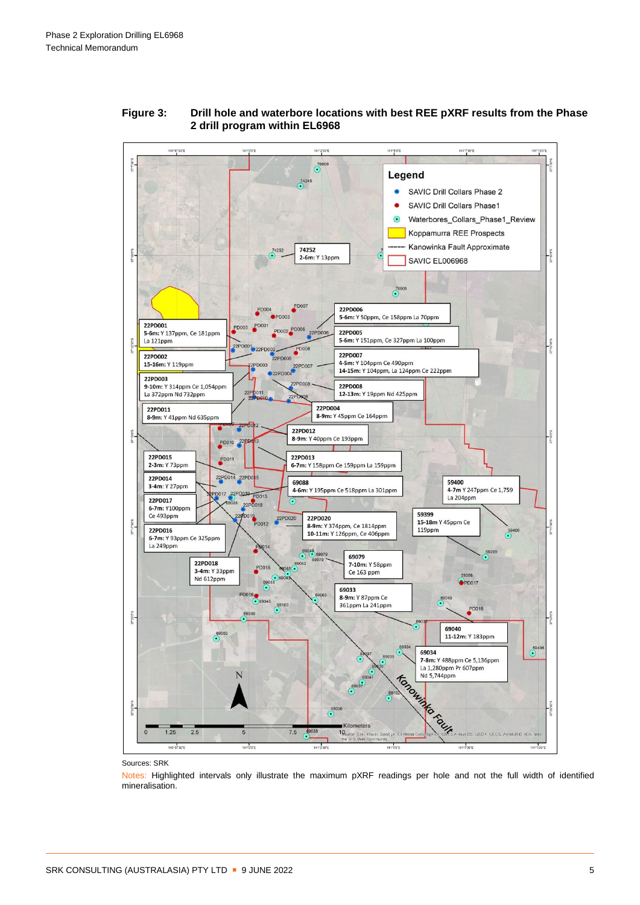

### <span id="page-4-0"></span>**Figure 3: Drill hole and waterbore locations with best REE pXRF results from the Phase 2 drill program within EL6968**

#### Sources: SRK

Notes: Highlighted intervals only illustrate the maximum pXRF readings per hole and not the full width of identified mineralisation.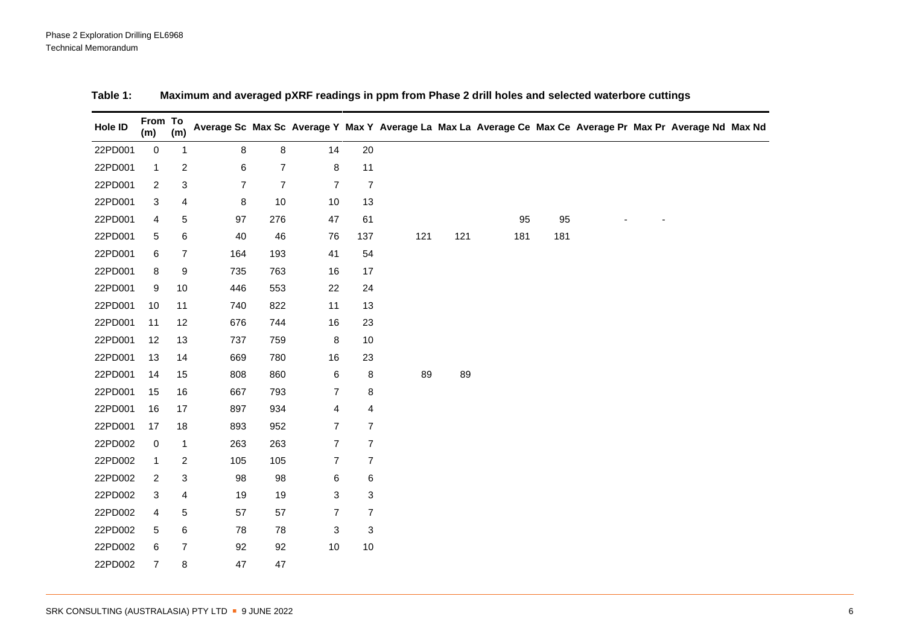<span id="page-5-0"></span>

| Hole ID | From To<br>(m) | (m)            |                |                |                |                |     |     |     |     |  | Average Sc Max Sc Average Y Max Y Average La Max La Average Ce Max Ce Average Pr Max Pr Average Nd Max Nd |  |
|---------|----------------|----------------|----------------|----------------|----------------|----------------|-----|-----|-----|-----|--|-----------------------------------------------------------------------------------------------------------|--|
| 22PD001 | $\pmb{0}$      | 1              | 8              | 8              | 14             | 20             |     |     |     |     |  |                                                                                                           |  |
| 22PD001 | $\mathbf{1}$   | $\overline{c}$ | 6              | $\overline{7}$ | 8              | 11             |     |     |     |     |  |                                                                                                           |  |
| 22PD001 | $\overline{c}$ | 3              | $\overline{7}$ | $\overline{7}$ | $\overline{7}$ | $\overline{7}$ |     |     |     |     |  |                                                                                                           |  |
| 22PD001 | 3              | 4              | 8              | $10$           | $10$           | 13             |     |     |     |     |  |                                                                                                           |  |
| 22PD001 | 4              | 5              | 97             | 276            | 47             | 61             |     |     | 95  | 95  |  |                                                                                                           |  |
| 22PD001 | 5              | 6              | 40             | 46             | 76             | 137            | 121 | 121 | 181 | 181 |  |                                                                                                           |  |
| 22PD001 | 6              | $\overline{7}$ | 164            | 193            | 41             | 54             |     |     |     |     |  |                                                                                                           |  |
| 22PD001 | 8              | 9              | 735            | 763            | 16             | 17             |     |     |     |     |  |                                                                                                           |  |
| 22PD001 | 9              | $10$           | 446            | 553            | 22             | 24             |     |     |     |     |  |                                                                                                           |  |
| 22PD001 | 10             | 11             | 740            | 822            | 11             | 13             |     |     |     |     |  |                                                                                                           |  |
| 22PD001 | 11             | 12             | 676            | 744            | 16             | 23             |     |     |     |     |  |                                                                                                           |  |
| 22PD001 | 12             | 13             | 737            | 759            | 8              | 10             |     |     |     |     |  |                                                                                                           |  |
| 22PD001 | 13             | 14             | 669            | 780            | 16             | 23             |     |     |     |     |  |                                                                                                           |  |
| 22PD001 | 14             | 15             | 808            | 860            | $\,6$          | 8              | 89  | 89  |     |     |  |                                                                                                           |  |
| 22PD001 | 15             | 16             | 667            | 793            | $\overline{7}$ | 8              |     |     |     |     |  |                                                                                                           |  |
| 22PD001 | 16             | 17             | 897            | 934            | 4              | 4              |     |     |     |     |  |                                                                                                           |  |
| 22PD001 | 17             | 18             | 893            | 952            | $\overline{7}$ | $\overline{7}$ |     |     |     |     |  |                                                                                                           |  |
| 22PD002 | 0              | 1              | 263            | 263            | $\overline{7}$ | $\overline{7}$ |     |     |     |     |  |                                                                                                           |  |
| 22PD002 | $\mathbf{1}$   | 2              | 105            | 105            | $\overline{7}$ | $\overline{7}$ |     |     |     |     |  |                                                                                                           |  |
| 22PD002 | $\overline{c}$ | 3              | 98             | 98             | 6              | $\,6$          |     |     |     |     |  |                                                                                                           |  |
| 22PD002 | 3              | 4              | 19             | 19             | 3              | 3              |     |     |     |     |  |                                                                                                           |  |
| 22PD002 | 4              | 5              | 57             | 57             | 7              | 7              |     |     |     |     |  |                                                                                                           |  |
| 22PD002 | 5              | 6              | 78             | 78             | 3              | 3              |     |     |     |     |  |                                                                                                           |  |
| 22PD002 | 6              | $\overline{7}$ | 92             | 92             | $10$           | $10$           |     |     |     |     |  |                                                                                                           |  |
| 22PD002 | $\overline{7}$ | 8              | 47             | 47             |                |                |     |     |     |     |  |                                                                                                           |  |

**Table 1: Maximum and averaged pXRF readings in ppm from Phase 2 drill holes and selected waterbore cuttings**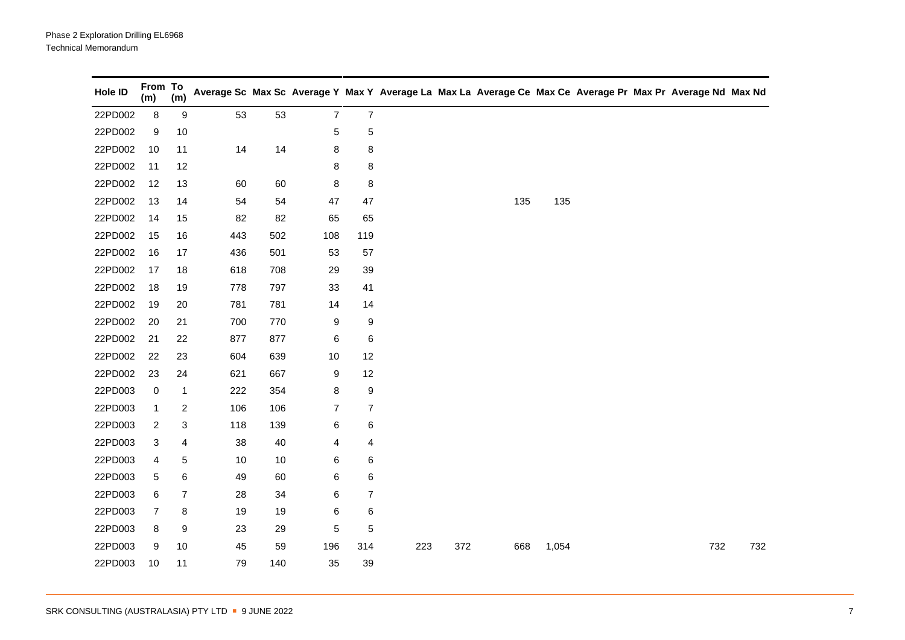| Hole ID | From To<br>(m) | (m)            |     |      |                  |                | Average Sc Max Sc Average Y Max Y Average La Max La Average Ce Max Ce Average Pr Max Pr Average Nd Max Nd |     |       |  |     |     |
|---------|----------------|----------------|-----|------|------------------|----------------|-----------------------------------------------------------------------------------------------------------|-----|-------|--|-----|-----|
| 22PD002 | 8              | 9              | 53  | 53   | $\overline{7}$   | $\overline{7}$ |                                                                                                           |     |       |  |     |     |
| 22PD002 | 9              | 10             |     |      | 5                | 5              |                                                                                                           |     |       |  |     |     |
| 22PD002 | 10             | 11             | 14  | 14   | 8                | 8              |                                                                                                           |     |       |  |     |     |
| 22PD002 | 11             | 12             |     |      | 8                | 8              |                                                                                                           |     |       |  |     |     |
| 22PD002 | 12             | 13             | 60  | 60   | 8                | 8              |                                                                                                           |     |       |  |     |     |
| 22PD002 | 13             | 14             | 54  | 54   | 47               | 47             |                                                                                                           | 135 | 135   |  |     |     |
| 22PD002 | 14             | 15             | 82  | 82   | 65               | 65             |                                                                                                           |     |       |  |     |     |
| 22PD002 | 15             | 16             | 443 | 502  | 108              | 119            |                                                                                                           |     |       |  |     |     |
| 22PD002 | 16             | 17             | 436 | 501  | 53               | 57             |                                                                                                           |     |       |  |     |     |
| 22PD002 | 17             | 18             | 618 | 708  | 29               | 39             |                                                                                                           |     |       |  |     |     |
| 22PD002 | 18             | 19             | 778 | 797  | 33               | 41             |                                                                                                           |     |       |  |     |     |
| 22PD002 | 19             | 20             | 781 | 781  | 14               | 14             |                                                                                                           |     |       |  |     |     |
| 22PD002 | 20             | 21             | 700 | 770  | $\boldsymbol{9}$ | 9              |                                                                                                           |     |       |  |     |     |
| 22PD002 | 21             | 22             | 877 | 877  | 6                | 6              |                                                                                                           |     |       |  |     |     |
| 22PD002 | 22             | 23             | 604 | 639  | $10$             | 12             |                                                                                                           |     |       |  |     |     |
| 22PD002 | 23             | 24             | 621 | 667  | 9                | 12             |                                                                                                           |     |       |  |     |     |
| 22PD003 | 0              | $\mathbf{1}$   | 222 | 354  | 8                | 9              |                                                                                                           |     |       |  |     |     |
| 22PD003 | $\mathbf{1}$   | $\overline{c}$ | 106 | 106  | $\overline{7}$   | $\overline{7}$ |                                                                                                           |     |       |  |     |     |
| 22PD003 | 2              | 3              | 118 | 139  | 6                | 6              |                                                                                                           |     |       |  |     |     |
| 22PD003 | 3              | 4              | 38  | 40   | 4                | 4              |                                                                                                           |     |       |  |     |     |
| 22PD003 | 4              | 5              | 10  | $10$ | 6                | 6              |                                                                                                           |     |       |  |     |     |
| 22PD003 | 5              | 6              | 49  | 60   | 6                | $\,6$          |                                                                                                           |     |       |  |     |     |
| 22PD003 | 6              | $\overline{7}$ | 28  | 34   | 6                | 7              |                                                                                                           |     |       |  |     |     |
| 22PD003 | 7              | 8              | 19  | 19   | 6                | 6              |                                                                                                           |     |       |  |     |     |
| 22PD003 | 8              | 9              | 23  | 29   | 5                | 5              |                                                                                                           |     |       |  |     |     |
| 22PD003 | 9              | 10             | 45  | 59   | 196              | 314            | 372<br>223                                                                                                | 668 | 1,054 |  | 732 | 732 |
| 22PD003 | 10             | 11             | 79  | 140  | 35               | 39             |                                                                                                           |     |       |  |     |     |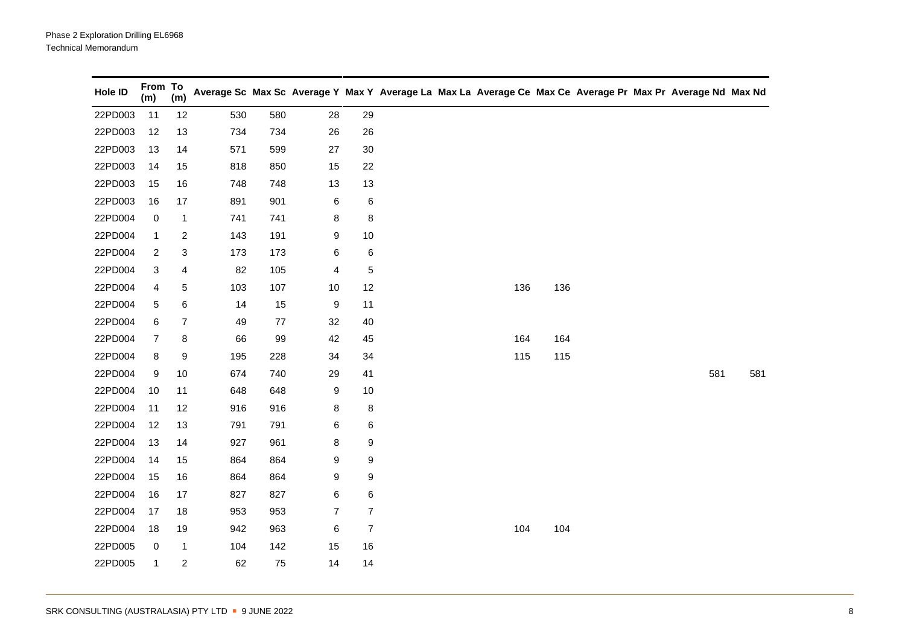| Hole ID | From To<br>(m) | (m)            |     |     |                |                | Average Sc Max Sc Average Y Max Y Average La Max La Average Ce Max Ce Average Pr Max Pr Average Nd Max Nd |     |     |  |     |     |
|---------|----------------|----------------|-----|-----|----------------|----------------|-----------------------------------------------------------------------------------------------------------|-----|-----|--|-----|-----|
| 22PD003 | 11             | 12             | 530 | 580 | 28             | 29             |                                                                                                           |     |     |  |     |     |
| 22PD003 | 12             | 13             | 734 | 734 | 26             | 26             |                                                                                                           |     |     |  |     |     |
| 22PD003 | 13             | 14             | 571 | 599 | 27             | 30             |                                                                                                           |     |     |  |     |     |
| 22PD003 | 14             | 15             | 818 | 850 | 15             | 22             |                                                                                                           |     |     |  |     |     |
| 22PD003 | 15             | 16             | 748 | 748 | 13             | 13             |                                                                                                           |     |     |  |     |     |
| 22PD003 | 16             | 17             | 891 | 901 | 6              | 6              |                                                                                                           |     |     |  |     |     |
| 22PD004 | 0              | $\mathbf{1}$   | 741 | 741 | 8              | 8              |                                                                                                           |     |     |  |     |     |
| 22PD004 | $\mathbf{1}$   | $\overline{c}$ | 143 | 191 | 9              | $10$           |                                                                                                           |     |     |  |     |     |
| 22PD004 | 2              | 3              | 173 | 173 | 6              | 6              |                                                                                                           |     |     |  |     |     |
| 22PD004 | 3              | 4              | 82  | 105 | 4              | 5              |                                                                                                           |     |     |  |     |     |
| 22PD004 | 4              | 5              | 103 | 107 | $10$           | 12             |                                                                                                           | 136 | 136 |  |     |     |
| 22PD004 | 5              | 6              | 14  | 15  | 9              | 11             |                                                                                                           |     |     |  |     |     |
| 22PD004 | 6              | $\overline{7}$ | 49  | 77  | 32             | 40             |                                                                                                           |     |     |  |     |     |
| 22PD004 | $\overline{7}$ | 8              | 66  | 99  | 42             | 45             |                                                                                                           | 164 | 164 |  |     |     |
| 22PD004 | 8              | 9              | 195 | 228 | 34             | 34             |                                                                                                           | 115 | 115 |  |     |     |
| 22PD004 | 9              | 10             | 674 | 740 | 29             | 41             |                                                                                                           |     |     |  | 581 | 581 |
| 22PD004 | 10             | 11             | 648 | 648 | 9              | $10$           |                                                                                                           |     |     |  |     |     |
| 22PD004 | 11             | $12$           | 916 | 916 | 8              | 8              |                                                                                                           |     |     |  |     |     |
| 22PD004 | 12             | 13             | 791 | 791 | 6              | 6              |                                                                                                           |     |     |  |     |     |
| 22PD004 | 13             | 14             | 927 | 961 | 8              | 9              |                                                                                                           |     |     |  |     |     |
| 22PD004 | 14             | 15             | 864 | 864 | 9              | 9              |                                                                                                           |     |     |  |     |     |
| 22PD004 | 15             | 16             | 864 | 864 | 9              | 9              |                                                                                                           |     |     |  |     |     |
| 22PD004 | 16             | 17             | 827 | 827 | 6              | 6              |                                                                                                           |     |     |  |     |     |
| 22PD004 | 17             | 18             | 953 | 953 | $\overline{7}$ | $\overline{7}$ |                                                                                                           |     |     |  |     |     |
| 22PD004 | 18             | 19             | 942 | 963 | 6              | $\overline{7}$ |                                                                                                           | 104 | 104 |  |     |     |
| 22PD005 | 0              | 1              | 104 | 142 | 15             | 16             |                                                                                                           |     |     |  |     |     |
| 22PD005 | $\mathbf{1}$   | $\overline{c}$ | 62  | 75  | 14             | 14             |                                                                                                           |     |     |  |     |     |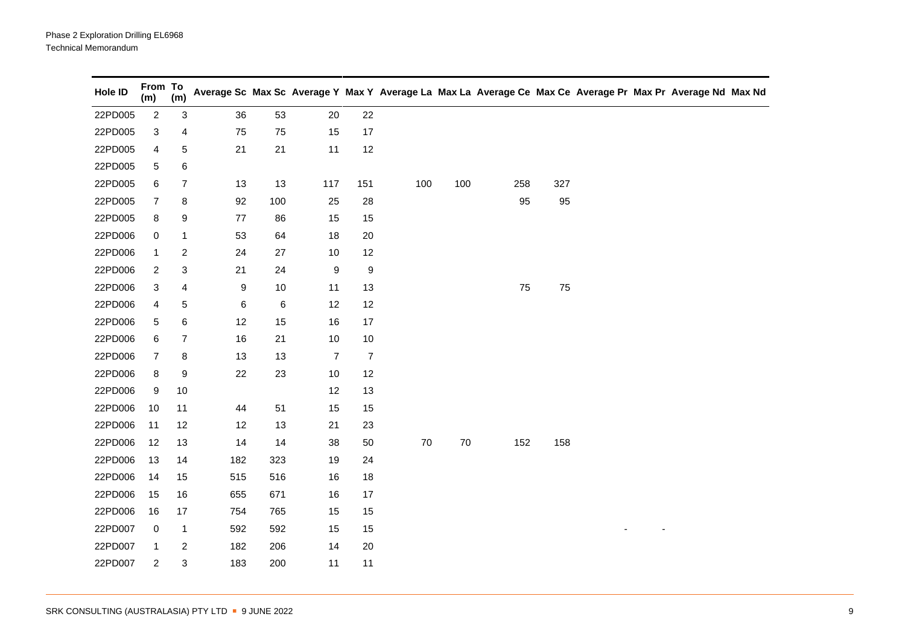| Hole ID | From To<br>(m) | (m)                     |       |      |                |                  |     |        |     |     |                          |                | Average Sc Max Sc Average Y Max Y Average La Max La Average Ce Max Ce Average Pr Max Pr Average Nd Max Nd |  |
|---------|----------------|-------------------------|-------|------|----------------|------------------|-----|--------|-----|-----|--------------------------|----------------|-----------------------------------------------------------------------------------------------------------|--|
| 22PD005 | $\overline{c}$ | $\sqrt{3}$              | 36    | 53   | $20\,$         | 22               |     |        |     |     |                          |                |                                                                                                           |  |
| 22PD005 | 3              | 4                       | 75    | 75   | 15             | 17               |     |        |     |     |                          |                |                                                                                                           |  |
| 22PD005 | 4              | 5                       | 21    | 21   | 11             | 12               |     |        |     |     |                          |                |                                                                                                           |  |
| 22PD005 | 5              | 6                       |       |      |                |                  |     |        |     |     |                          |                |                                                                                                           |  |
| 22PD005 | 6              | 7                       | 13    | 13   | 117            | 151              | 100 | 100    | 258 | 327 |                          |                |                                                                                                           |  |
| 22PD005 | 7              | 8                       | 92    | 100  | 25             | 28               |     |        | 95  | 95  |                          |                |                                                                                                           |  |
| 22PD005 | 8              | 9                       | 77    | 86   | 15             | 15               |     |        |     |     |                          |                |                                                                                                           |  |
| 22PD006 | 0              | 1                       | 53    | 64   | 18             | $20\,$           |     |        |     |     |                          |                |                                                                                                           |  |
| 22PD006 | $\mathbf{1}$   | $\overline{\mathbf{c}}$ | 24    | 27   | 10             | 12               |     |        |     |     |                          |                |                                                                                                           |  |
| 22PD006 | 2              | 3                       | 21    | 24   | 9              | $\boldsymbol{9}$ |     |        |     |     |                          |                |                                                                                                           |  |
| 22PD006 | 3              | 4                       | 9     | $10$ | 11             | 13               |     |        | 75  | 75  |                          |                |                                                                                                           |  |
| 22PD006 | 4              | 5                       | $\,6$ | 6    | 12             | 12               |     |        |     |     |                          |                |                                                                                                           |  |
| 22PD006 | 5              | 6                       | 12    | 15   | 16             | 17               |     |        |     |     |                          |                |                                                                                                           |  |
| 22PD006 | 6              | $\overline{7}$          | 16    | 21   | $10$           | $10$             |     |        |     |     |                          |                |                                                                                                           |  |
| 22PD006 | 7              | 8                       | 13    | 13   | $\overline{7}$ | $\overline{7}$   |     |        |     |     |                          |                |                                                                                                           |  |
| 22PD006 | 8              | 9                       | 22    | 23   | 10             | 12               |     |        |     |     |                          |                |                                                                                                           |  |
| 22PD006 | 9              | 10                      |       |      | 12             | 13               |     |        |     |     |                          |                |                                                                                                           |  |
| 22PD006 | 10             | 11                      | 44    | 51   | 15             | 15               |     |        |     |     |                          |                |                                                                                                           |  |
| 22PD006 | 11             | 12                      | 12    | 13   | 21             | 23               |     |        |     |     |                          |                |                                                                                                           |  |
| 22PD006 | 12             | 13                      | 14    | 14   | 38             | 50               | 70  | $70\,$ | 152 | 158 |                          |                |                                                                                                           |  |
| 22PD006 | 13             | 14                      | 182   | 323  | 19             | 24               |     |        |     |     |                          |                |                                                                                                           |  |
| 22PD006 | 14             | 15                      | 515   | 516  | 16             | 18               |     |        |     |     |                          |                |                                                                                                           |  |
| 22PD006 | 15             | 16                      | 655   | 671  | 16             | 17               |     |        |     |     |                          |                |                                                                                                           |  |
| 22PD006 | 16             | $17$                    | 754   | 765  | 15             | 15               |     |        |     |     |                          |                |                                                                                                           |  |
| 22PD007 | 0              | $\mathbf{1}$            | 592   | 592  | 15             | 15               |     |        |     |     | $\overline{\phantom{a}}$ | $\blacksquare$ |                                                                                                           |  |
| 22PD007 | 1              | $\overline{\mathbf{c}}$ | 182   | 206  | 14             | 20               |     |        |     |     |                          |                |                                                                                                           |  |
| 22PD007 | $\overline{c}$ | 3                       | 183   | 200  | 11             | 11               |     |        |     |     |                          |                |                                                                                                           |  |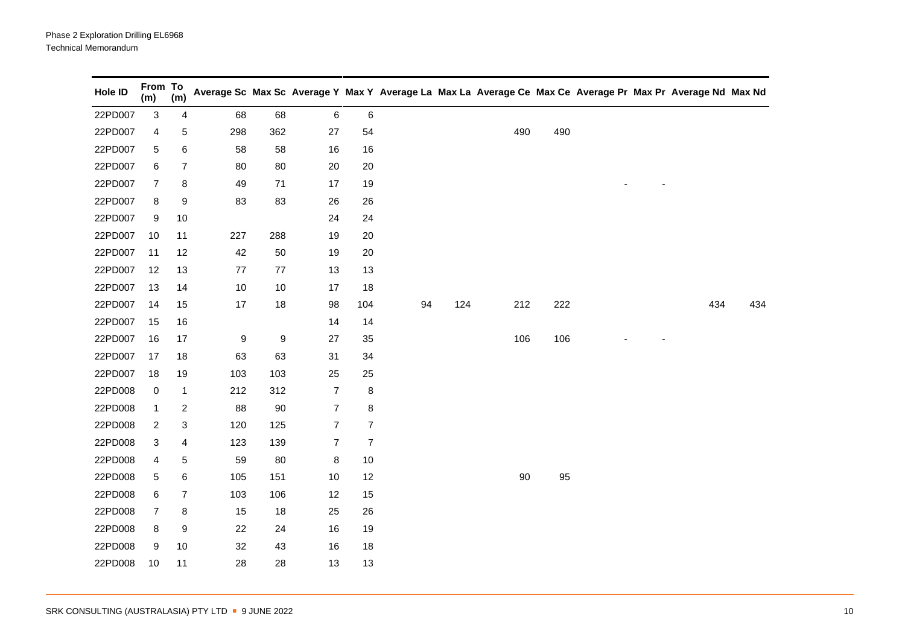| Hole ID | From To<br>(m) | (m)                     |        |      |                |                  |    |     | Average Sc Max Sc Average Y Max Y Average La Max La Average Ce Max Ce Average Pr Max Pr Average Nd Max Nd |     |  |     |     |
|---------|----------------|-------------------------|--------|------|----------------|------------------|----|-----|-----------------------------------------------------------------------------------------------------------|-----|--|-----|-----|
| 22PD007 | 3              | 4                       | 68     | 68   | 6              | $\,6$            |    |     |                                                                                                           |     |  |     |     |
| 22PD007 | 4              | 5                       | 298    | 362  | 27             | 54               |    |     | 490                                                                                                       | 490 |  |     |     |
| 22PD007 | 5              | 6                       | 58     | 58   | 16             | 16               |    |     |                                                                                                           |     |  |     |     |
| 22PD007 | 6              | $\overline{7}$          | 80     | 80   | 20             | 20               |    |     |                                                                                                           |     |  |     |     |
| 22PD007 | 7              | 8                       | 49     | 71   | 17             | 19               |    |     |                                                                                                           |     |  |     |     |
| 22PD007 | 8              | 9                       | 83     | 83   | 26             | 26               |    |     |                                                                                                           |     |  |     |     |
| 22PD007 | 9              | $10$                    |        |      | 24             | 24               |    |     |                                                                                                           |     |  |     |     |
| 22PD007 | 10             | 11                      | 227    | 288  | 19             | 20               |    |     |                                                                                                           |     |  |     |     |
| 22PD007 | 11             | 12                      | 42     | 50   | 19             | 20               |    |     |                                                                                                           |     |  |     |     |
| 22PD007 | 12             | 13                      | $77\,$ | 77   | 13             | 13               |    |     |                                                                                                           |     |  |     |     |
| 22PD007 | 13             | 14                      | $10$   | $10$ | 17             | 18               |    |     |                                                                                                           |     |  |     |     |
| 22PD007 | 14             | 15                      | 17     | 18   | 98             | 104              | 94 | 124 | 212                                                                                                       | 222 |  | 434 | 434 |
| 22PD007 | 15             | 16                      |        |      | 14             | 14               |    |     |                                                                                                           |     |  |     |     |
| 22PD007 | 16             | 17                      | 9      | 9    | 27             | 35               |    |     | 106                                                                                                       | 106 |  |     |     |
| 22PD007 | 17             | 18                      | 63     | 63   | 31             | 34               |    |     |                                                                                                           |     |  |     |     |
| 22PD007 | 18             | 19                      | 103    | 103  | 25             | 25               |    |     |                                                                                                           |     |  |     |     |
| 22PD008 | $\pmb{0}$      | $\mathbf{1}$            | 212    | 312  | $\overline{7}$ | 8                |    |     |                                                                                                           |     |  |     |     |
| 22PD008 | $\mathbf{1}$   | $\overline{\mathbf{c}}$ | 88     | 90   | $\overline{7}$ | 8                |    |     |                                                                                                           |     |  |     |     |
| 22PD008 | $\overline{2}$ | 3                       | 120    | 125  | $\overline{7}$ | $\boldsymbol{7}$ |    |     |                                                                                                           |     |  |     |     |
| 22PD008 | 3              | 4                       | 123    | 139  | 7              | $\overline{7}$   |    |     |                                                                                                           |     |  |     |     |
| 22PD008 | 4              | 5                       | 59     | 80   | 8              | 10               |    |     |                                                                                                           |     |  |     |     |
| 22PD008 | 5              | 6                       | 105    | 151  | 10             | 12               |    |     | 90                                                                                                        | 95  |  |     |     |
| 22PD008 | 6              | $\overline{7}$          | 103    | 106  | 12             | 15               |    |     |                                                                                                           |     |  |     |     |
| 22PD008 | 7              | 8                       | 15     | 18   | 25             | 26               |    |     |                                                                                                           |     |  |     |     |
| 22PD008 | 8              | 9                       | 22     | 24   | 16             | 19               |    |     |                                                                                                           |     |  |     |     |
| 22PD008 | 9              | 10                      | 32     | 43   | 16             | 18               |    |     |                                                                                                           |     |  |     |     |
| 22PD008 | 10             | 11                      | 28     | 28   | 13             | 13               |    |     |                                                                                                           |     |  |     |     |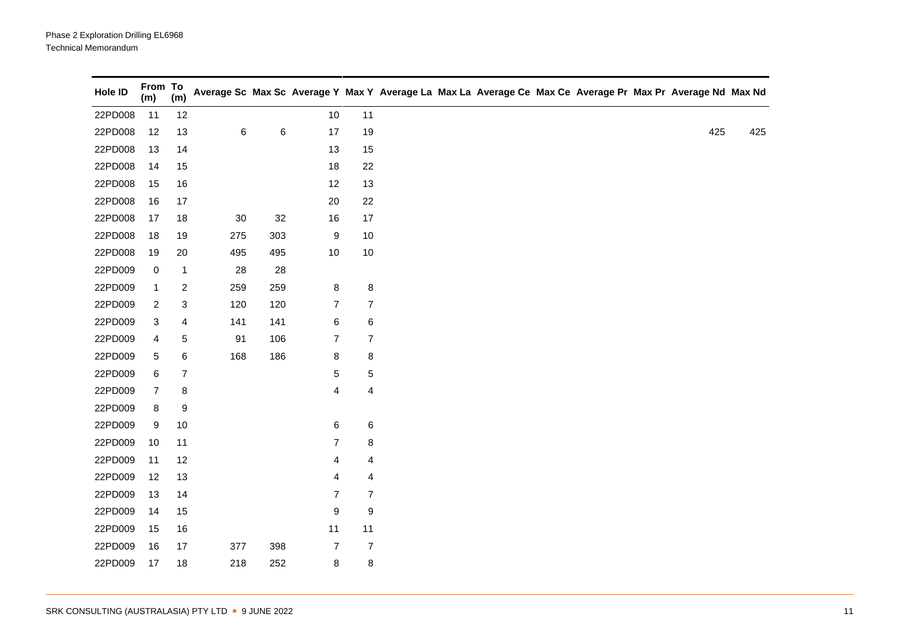| Hole ID | From To<br>(m) | (m)                     |        |     |                |                         | Average Sc Max Sc Average Y Max Y Average La Max La Average Ce Max Ce Average Pr Max Pr Average Nd Max Nd |     |
|---------|----------------|-------------------------|--------|-----|----------------|-------------------------|-----------------------------------------------------------------------------------------------------------|-----|
| 22PD008 | 11             | 12                      |        |     | $10$           | 11                      |                                                                                                           |     |
| 22PD008 | 12             | 13                      | $\,6$  | 6   | $17\,$         | 19                      | 425                                                                                                       | 425 |
| 22PD008 | 13             | 14                      |        |     | 13             | 15                      |                                                                                                           |     |
| 22PD008 | 14             | 15                      |        |     | 18             | 22                      |                                                                                                           |     |
| 22PD008 | 15             | 16                      |        |     | 12             | 13                      |                                                                                                           |     |
| 22PD008 | 16             | 17                      |        |     | 20             | 22                      |                                                                                                           |     |
| 22PD008 | 17             | 18                      | $30\,$ | 32  | 16             | $17$                    |                                                                                                           |     |
| 22PD008 | 18             | 19                      | 275    | 303 | 9              | $10$                    |                                                                                                           |     |
| 22PD008 | 19             | 20                      | 495    | 495 | 10             | $10$                    |                                                                                                           |     |
| 22PD009 | $\pmb{0}$      | $\mathbf{1}$            | 28     | 28  |                |                         |                                                                                                           |     |
| 22PD009 | $\mathbf{1}$   | $\overline{\mathbf{c}}$ | 259    | 259 | 8              | 8                       |                                                                                                           |     |
| 22PD009 | 2              | 3                       | 120    | 120 | 7              | 7                       |                                                                                                           |     |
| 22PD009 | 3              | $\overline{\mathbf{r}}$ | 141    | 141 | 6              | 6                       |                                                                                                           |     |
| 22PD009 | 4              | 5                       | 91     | 106 | $\overline{7}$ | $\overline{7}$          |                                                                                                           |     |
| 22PD009 | 5              | 6                       | 168    | 186 | 8              | 8                       |                                                                                                           |     |
| 22PD009 | 6              | $\overline{7}$          |        |     | 5              | 5                       |                                                                                                           |     |
| 22PD009 | $\overline{7}$ | 8                       |        |     | 4              | 4                       |                                                                                                           |     |
| 22PD009 | 8              | 9                       |        |     |                |                         |                                                                                                           |     |
| 22PD009 | 9              | 10                      |        |     | 6              | 6                       |                                                                                                           |     |
| 22PD009 | 10             | 11                      |        |     | $\overline{7}$ | 8                       |                                                                                                           |     |
| 22PD009 | 11             | 12                      |        |     | 4              | 4                       |                                                                                                           |     |
| 22PD009 | 12             | 13                      |        |     | 4              | $\overline{\mathbf{r}}$ |                                                                                                           |     |
| 22PD009 | 13             | 14                      |        |     | $\overline{7}$ | $\overline{7}$          |                                                                                                           |     |
| 22PD009 | 14             | 15                      |        |     | 9              | 9                       |                                                                                                           |     |
| 22PD009 | 15             | 16                      |        |     | 11             | 11                      |                                                                                                           |     |
| 22PD009 | 16             | 17                      | 377    | 398 | $\overline{7}$ | $\boldsymbol{7}$        |                                                                                                           |     |
| 22PD009 | 17             | 18                      | 218    | 252 | 8              | 8                       |                                                                                                           |     |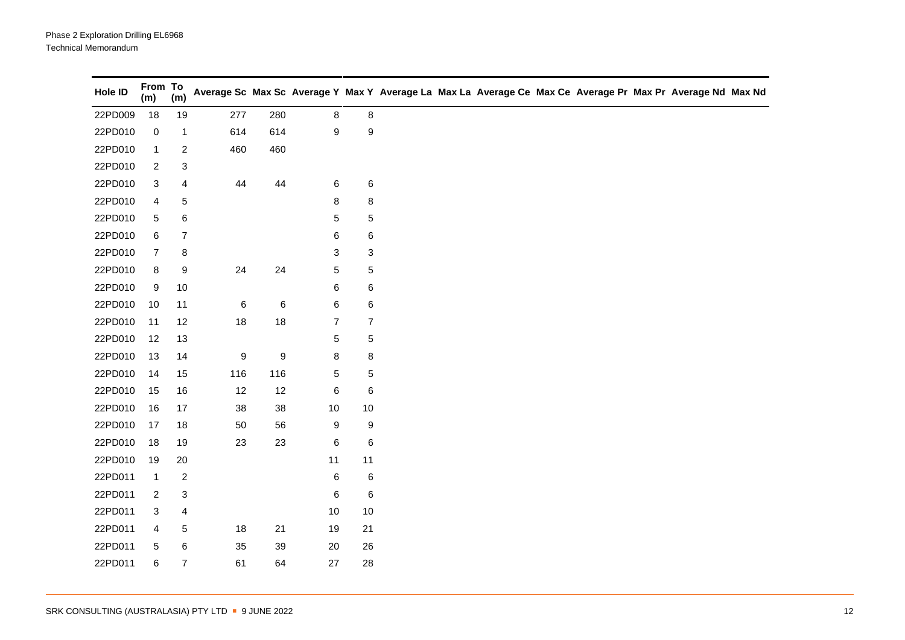| Hole ID | From To<br>(m) | (m)                     |      |                  |                |                  | Average Sc Max Sc Average Y Max Y Average La Max La Average Ce Max Ce Average Pr Max Pr Average Nd Max Nd |  |  |  |
|---------|----------------|-------------------------|------|------------------|----------------|------------------|-----------------------------------------------------------------------------------------------------------|--|--|--|
| 22PD009 | 18             | 19                      | 277  | 280              | 8              | 8                |                                                                                                           |  |  |  |
| 22PD010 | $\,0\,$        | $\mathbf{1}$            | 614  | 614              | 9              | $\boldsymbol{9}$ |                                                                                                           |  |  |  |
| 22PD010 | $\mathbf{1}$   | $\overline{\mathbf{c}}$ | 460  | 460              |                |                  |                                                                                                           |  |  |  |
| 22PD010 | 2              | 3                       |      |                  |                |                  |                                                                                                           |  |  |  |
| 22PD010 | 3              | 4                       | 44   | 44               | 6              | $\,6$            |                                                                                                           |  |  |  |
| 22PD010 | 4              | 5                       |      |                  | 8              | 8                |                                                                                                           |  |  |  |
| 22PD010 | 5              | 6                       |      |                  | 5              | 5                |                                                                                                           |  |  |  |
| 22PD010 | 6              | $\overline{7}$          |      |                  | 6              | $\,6$            |                                                                                                           |  |  |  |
| 22PD010 | $\overline{7}$ | 8                       |      |                  | 3              | $\mathbf 3$      |                                                                                                           |  |  |  |
| 22PD010 | 8              | 9                       | 24   | 24               | 5              | 5                |                                                                                                           |  |  |  |
| 22PD010 | 9              | $10$                    |      |                  | 6              | $\,6$            |                                                                                                           |  |  |  |
| 22PD010 | 10             | 11                      | 6    | 6                | 6              | $\,6$            |                                                                                                           |  |  |  |
| 22PD010 | 11             | 12                      | $18$ | $18$             | $\overline{7}$ | $\overline{7}$   |                                                                                                           |  |  |  |
| 22PD010 | 12             | 13                      |      |                  | 5              | $\mathbf 5$      |                                                                                                           |  |  |  |
| 22PD010 | 13             | 14                      | 9    | $\boldsymbol{9}$ | 8              | 8                |                                                                                                           |  |  |  |
| 22PD010 | 14             | 15                      | 116  | 116              | 5              | $\mathbf 5$      |                                                                                                           |  |  |  |
| 22PD010 | 15             | 16                      | 12   | 12               | 6              | $\,6$            |                                                                                                           |  |  |  |
| 22PD010 | 16             | 17                      | 38   | 38               | 10             | $10$             |                                                                                                           |  |  |  |
| 22PD010 | 17             | 18                      | 50   | 56               | 9              | 9                |                                                                                                           |  |  |  |
| 22PD010 | 18             | 19                      | 23   | 23               | 6              | $\,6$            |                                                                                                           |  |  |  |
| 22PD010 | 19             | $20\,$                  |      |                  | 11             | 11               |                                                                                                           |  |  |  |
| 22PD011 | $\mathbf{1}$   | $\boldsymbol{2}$        |      |                  | 6              | $\,6$            |                                                                                                           |  |  |  |
| 22PD011 | $\overline{c}$ | 3                       |      |                  | 6              | $\,6$            |                                                                                                           |  |  |  |
| 22PD011 | 3              | 4                       |      |                  | 10             | $10$             |                                                                                                           |  |  |  |
| 22PD011 | 4              | 5                       | $18$ | 21               | 19             | 21               |                                                                                                           |  |  |  |
| 22PD011 | 5              | 6                       | 35   | 39               | 20             | 26               |                                                                                                           |  |  |  |
| 22PD011 | 6              | $\overline{7}$          | 61   | 64               | 27             | 28               |                                                                                                           |  |  |  |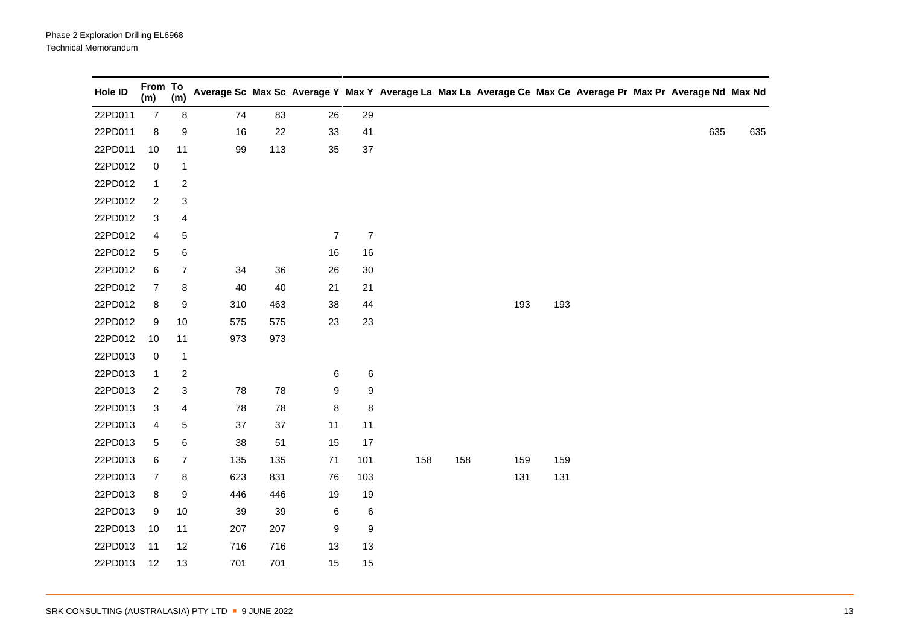| Hole ID | From To<br>(m) | (m)                     |     |     |                |                          |     |     |     |     |  | Average Sc Max Sc Average Y Max Y Average La Max La Average Ce Max Ce Average Pr Max Pr Average Nd Max Nd |     |
|---------|----------------|-------------------------|-----|-----|----------------|--------------------------|-----|-----|-----|-----|--|-----------------------------------------------------------------------------------------------------------|-----|
| 22PD011 | $\overline{7}$ | 8                       | 74  | 83  | 26             | 29                       |     |     |     |     |  |                                                                                                           |     |
| 22PD011 | 8              | 9                       | 16  | 22  | 33             | 41                       |     |     |     |     |  | 635                                                                                                       | 635 |
| 22PD011 | 10             | 11                      | 99  | 113 | 35             | 37                       |     |     |     |     |  |                                                                                                           |     |
| 22PD012 | 0              | $\mathbf{1}$            |     |     |                |                          |     |     |     |     |  |                                                                                                           |     |
| 22PD012 | $\mathbf{1}$   | $\overline{c}$          |     |     |                |                          |     |     |     |     |  |                                                                                                           |     |
| 22PD012 | 2              | 3                       |     |     |                |                          |     |     |     |     |  |                                                                                                           |     |
| 22PD012 | 3              | $\overline{\mathbf{4}}$ |     |     |                |                          |     |     |     |     |  |                                                                                                           |     |
| 22PD012 | 4              | 5                       |     |     | $\overline{7}$ | $\overline{\mathcal{I}}$ |     |     |     |     |  |                                                                                                           |     |
| 22PD012 | 5              | 6                       |     |     | $16\,$         | 16                       |     |     |     |     |  |                                                                                                           |     |
| 22PD012 | 6              | $\overline{7}$          | 34  | 36  | 26             | 30                       |     |     |     |     |  |                                                                                                           |     |
| 22PD012 | 7              | 8                       | 40  | 40  | 21             | 21                       |     |     |     |     |  |                                                                                                           |     |
| 22PD012 | 8              | 9                       | 310 | 463 | 38             | 44                       |     |     | 193 | 193 |  |                                                                                                           |     |
| 22PD012 | 9              | 10                      | 575 | 575 | 23             | 23                       |     |     |     |     |  |                                                                                                           |     |
| 22PD012 | $10$           | 11                      | 973 | 973 |                |                          |     |     |     |     |  |                                                                                                           |     |
| 22PD013 | 0              | $\mathbf{1}$            |     |     |                |                          |     |     |     |     |  |                                                                                                           |     |
| 22PD013 | $\mathbf{1}$   | $\overline{c}$          |     |     | 6              | 6                        |     |     |     |     |  |                                                                                                           |     |
| 22PD013 | 2              | 3                       | 78  | 78  | 9              | 9                        |     |     |     |     |  |                                                                                                           |     |
| 22PD013 | 3              | $\overline{4}$          | 78  | 78  | 8              | 8                        |     |     |     |     |  |                                                                                                           |     |
| 22PD013 | 4              | $\,$ 5 $\,$             | 37  | 37  | 11             | 11                       |     |     |     |     |  |                                                                                                           |     |
| 22PD013 | 5              | 6                       | 38  | 51  | 15             | 17                       |     |     |     |     |  |                                                                                                           |     |
| 22PD013 | 6              | $\overline{7}$          | 135 | 135 | 71             | 101                      | 158 | 158 | 159 | 159 |  |                                                                                                           |     |
| 22PD013 | $\overline{7}$ | 8                       | 623 | 831 | 76             | 103                      |     |     | 131 | 131 |  |                                                                                                           |     |
| 22PD013 | 8              | 9                       | 446 | 446 | 19             | 19                       |     |     |     |     |  |                                                                                                           |     |
| 22PD013 | 9              | $10$                    | 39  | 39  | 6              | 6                        |     |     |     |     |  |                                                                                                           |     |
| 22PD013 | 10             | 11                      | 207 | 207 | 9              | 9                        |     |     |     |     |  |                                                                                                           |     |
| 22PD013 | 11             | 12                      | 716 | 716 | 13             | 13                       |     |     |     |     |  |                                                                                                           |     |
| 22PD013 | 12             | 13                      | 701 | 701 | 15             | 15                       |     |     |     |     |  |                                                                                                           |     |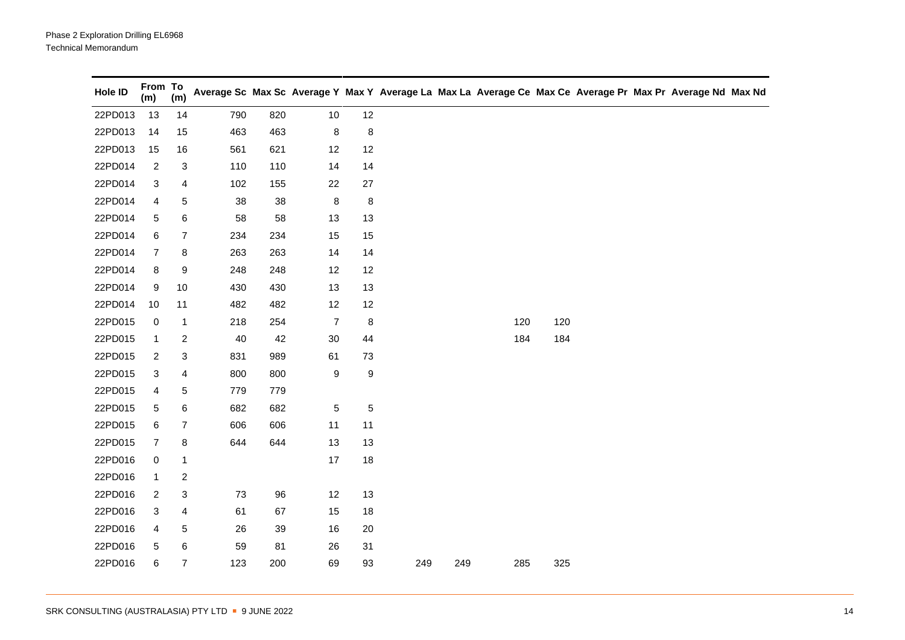| Hole ID | From To<br>(m)   | (m)                       |     |     |                |                  |     |     | Average Sc Max Sc Average Y Max Y Average La Max La Average Ce Max Ce Average Pr Max Pr Average Nd Max Nd |     |  |  |
|---------|------------------|---------------------------|-----|-----|----------------|------------------|-----|-----|-----------------------------------------------------------------------------------------------------------|-----|--|--|
| 22PD013 | 13               | 14                        | 790 | 820 | 10             | 12               |     |     |                                                                                                           |     |  |  |
| 22PD013 | 14               | 15                        | 463 | 463 | 8              | 8                |     |     |                                                                                                           |     |  |  |
| 22PD013 | 15               | 16                        | 561 | 621 | 12             | 12               |     |     |                                                                                                           |     |  |  |
| 22PD014 | $\boldsymbol{2}$ | $\ensuremath{\mathsf{3}}$ | 110 | 110 | 14             | 14               |     |     |                                                                                                           |     |  |  |
| 22PD014 | 3                | 4                         | 102 | 155 | 22             | 27               |     |     |                                                                                                           |     |  |  |
| 22PD014 | 4                | 5                         | 38  | 38  | $\bf 8$        | 8                |     |     |                                                                                                           |     |  |  |
| 22PD014 | 5                | 6                         | 58  | 58  | 13             | 13               |     |     |                                                                                                           |     |  |  |
| 22PD014 | 6                | 7                         | 234 | 234 | 15             | 15               |     |     |                                                                                                           |     |  |  |
| 22PD014 | 7                | 8                         | 263 | 263 | 14             | 14               |     |     |                                                                                                           |     |  |  |
| 22PD014 | 8                | 9                         | 248 | 248 | 12             | 12               |     |     |                                                                                                           |     |  |  |
| 22PD014 | 9                | $10$                      | 430 | 430 | 13             | 13               |     |     |                                                                                                           |     |  |  |
| 22PD014 | 10               | 11                        | 482 | 482 | 12             | 12               |     |     |                                                                                                           |     |  |  |
| 22PD015 | $\mathbf 0$      | $\mathbf{1}$              | 218 | 254 | $\overline{7}$ | 8                |     |     | 120                                                                                                       | 120 |  |  |
| 22PD015 | 1                | $\overline{c}$            | 40  | 42  | 30             | 44               |     |     | 184                                                                                                       | 184 |  |  |
| 22PD015 | 2                | 3                         | 831 | 989 | 61             | 73               |     |     |                                                                                                           |     |  |  |
| 22PD015 | 3                | 4                         | 800 | 800 | 9              | $\boldsymbol{9}$ |     |     |                                                                                                           |     |  |  |
| 22PD015 | 4                | 5                         | 779 | 779 |                |                  |     |     |                                                                                                           |     |  |  |
| 22PD015 | 5                | 6                         | 682 | 682 | $\,$ 5 $\,$    | $\mathbf 5$      |     |     |                                                                                                           |     |  |  |
| 22PD015 | 6                | 7                         | 606 | 606 | 11             | 11               |     |     |                                                                                                           |     |  |  |
| 22PD015 | $\overline{7}$   | 8                         | 644 | 644 | 13             | 13               |     |     |                                                                                                           |     |  |  |
| 22PD016 | $\pmb{0}$        | $\mathbf{1}$              |     |     | 17             | 18               |     |     |                                                                                                           |     |  |  |
| 22PD016 | $\mathbf{1}$     | $\overline{c}$            |     |     |                |                  |     |     |                                                                                                           |     |  |  |
| 22PD016 | $\overline{c}$   | 3                         | 73  | 96  | 12             | 13               |     |     |                                                                                                           |     |  |  |
| 22PD016 | 3                | 4                         | 61  | 67  | 15             | 18               |     |     |                                                                                                           |     |  |  |
| 22PD016 | 4                | 5                         | 26  | 39  | 16             | $20\,$           |     |     |                                                                                                           |     |  |  |
| 22PD016 | 5                | 6                         | 59  | 81  | 26             | 31               |     |     |                                                                                                           |     |  |  |
| 22PD016 | 6                | $\overline{7}$            | 123 | 200 | 69             | 93               | 249 | 249 | 285                                                                                                       | 325 |  |  |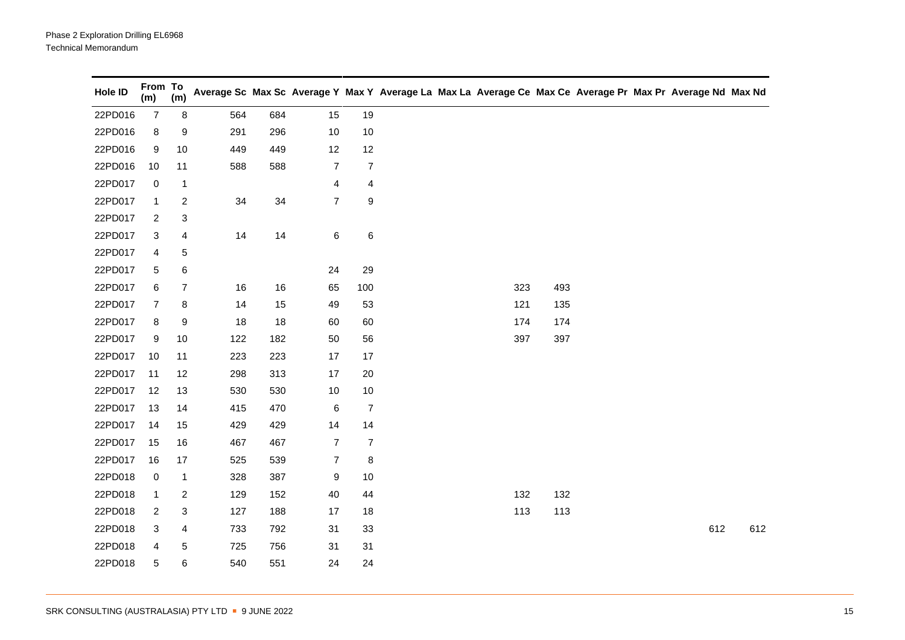| Hole ID | From To<br>(m) | (m)                     |      |     |                |                         | Average Sc Max Sc Average Y Max Y Average La Max La Average Ce Max Ce Average Pr Max Pr Average Nd Max Nd |     |     |  |     |     |
|---------|----------------|-------------------------|------|-----|----------------|-------------------------|-----------------------------------------------------------------------------------------------------------|-----|-----|--|-----|-----|
| 22PD016 | $\overline{7}$ | 8                       | 564  | 684 | 15             | 19                      |                                                                                                           |     |     |  |     |     |
| 22PD016 | 8              | 9                       | 291  | 296 | $10$           | 10                      |                                                                                                           |     |     |  |     |     |
| 22PD016 | 9              | 10                      | 449  | 449 | 12             | 12                      |                                                                                                           |     |     |  |     |     |
| 22PD016 | 10             | 11                      | 588  | 588 | $\overline{7}$ | $\overline{7}$          |                                                                                                           |     |     |  |     |     |
| 22PD017 | $\pmb{0}$      | $\mathbf{1}$            |      |     | 4              | $\overline{\mathbf{4}}$ |                                                                                                           |     |     |  |     |     |
| 22PD017 | $\mathbf{1}$   | $\overline{c}$          | 34   | 34  | $\overline{7}$ | $\boldsymbol{9}$        |                                                                                                           |     |     |  |     |     |
| 22PD017 | $\overline{c}$ | 3                       |      |     |                |                         |                                                                                                           |     |     |  |     |     |
| 22PD017 | 3              | 4                       | 14   | 14  | 6              | $\,6$                   |                                                                                                           |     |     |  |     |     |
| 22PD017 | 4              | 5                       |      |     |                |                         |                                                                                                           |     |     |  |     |     |
| 22PD017 | 5              | $\,6$                   |      |     | 24             | 29                      |                                                                                                           |     |     |  |     |     |
| 22PD017 | 6              | $\overline{7}$          | 16   | 16  | 65             | 100                     |                                                                                                           | 323 | 493 |  |     |     |
| 22PD017 | $\overline{7}$ | 8                       | 14   | 15  | 49             | 53                      |                                                                                                           | 121 | 135 |  |     |     |
| 22PD017 | 8              | 9                       | $18$ | 18  | 60             | 60                      |                                                                                                           | 174 | 174 |  |     |     |
| 22PD017 | 9              | 10                      | 122  | 182 | 50             | 56                      |                                                                                                           | 397 | 397 |  |     |     |
| 22PD017 | 10             | 11                      | 223  | 223 | 17             | 17                      |                                                                                                           |     |     |  |     |     |
| 22PD017 | 11             | 12                      | 298  | 313 | $17$           | $20\,$                  |                                                                                                           |     |     |  |     |     |
| 22PD017 | 12             | 13                      | 530  | 530 | $10$           | 10                      |                                                                                                           |     |     |  |     |     |
| 22PD017 | 13             | 14                      | 415  | 470 | 6              | $\overline{7}$          |                                                                                                           |     |     |  |     |     |
| 22PD017 | 14             | 15                      | 429  | 429 | 14             | $14$                    |                                                                                                           |     |     |  |     |     |
| 22PD017 | 15             | 16                      | 467  | 467 | $\overline{7}$ | $\overline{7}$          |                                                                                                           |     |     |  |     |     |
| 22PD017 | 16             | 17                      | 525  | 539 | $\overline{7}$ | 8                       |                                                                                                           |     |     |  |     |     |
| 22PD018 | $\pmb{0}$      | $\mathbf{1}$            | 328  | 387 | 9              | 10                      |                                                                                                           |     |     |  |     |     |
| 22PD018 | $\mathbf{1}$   | $\overline{\mathbf{c}}$ | 129  | 152 | 40             | 44                      |                                                                                                           | 132 | 132 |  |     |     |
| 22PD018 | $\overline{c}$ | 3                       | 127  | 188 | 17             | 18                      |                                                                                                           | 113 | 113 |  |     |     |
| 22PD018 | 3              | 4                       | 733  | 792 | 31             | $33\,$                  |                                                                                                           |     |     |  | 612 | 612 |
| 22PD018 | 4              | 5                       | 725  | 756 | 31             | 31                      |                                                                                                           |     |     |  |     |     |
| 22PD018 | 5              | 6                       | 540  | 551 | 24             | 24                      |                                                                                                           |     |     |  |     |     |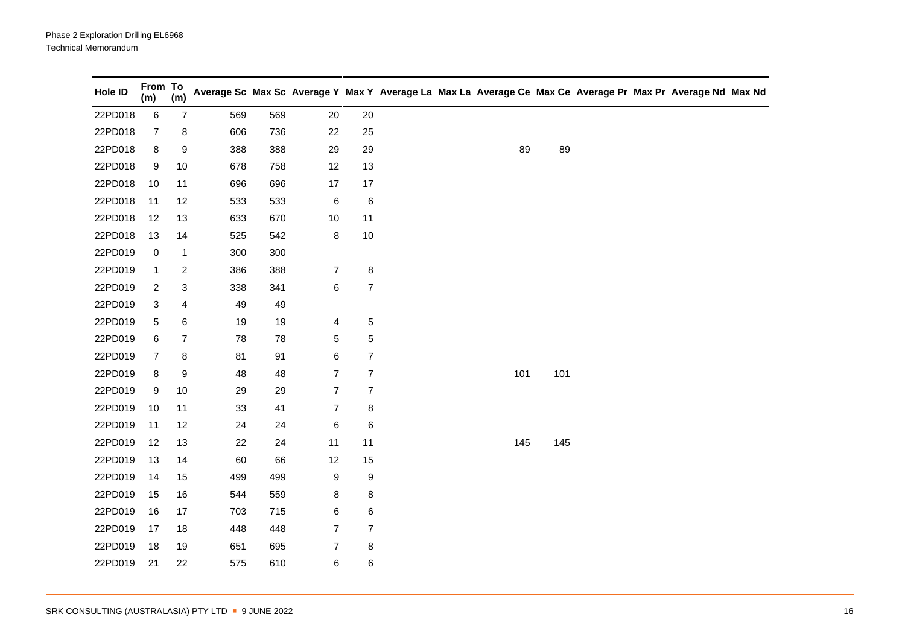| Hole ID | From To<br>(m) | (m)                     |     |     |                |                  | Average Sc Max Sc Average Y Max Y Average La Max La Average Ce Max Ce Average Pr Max Pr Average Nd Max Nd |     |     |  |  |
|---------|----------------|-------------------------|-----|-----|----------------|------------------|-----------------------------------------------------------------------------------------------------------|-----|-----|--|--|
| 22PD018 | 6              | $\boldsymbol{7}$        | 569 | 569 | 20             | 20               |                                                                                                           |     |     |  |  |
| 22PD018 | 7              | 8                       | 606 | 736 | 22             | 25               |                                                                                                           |     |     |  |  |
| 22PD018 | 8              | 9                       | 388 | 388 | 29             | 29               |                                                                                                           | 89  | 89  |  |  |
| 22PD018 | 9              | 10                      | 678 | 758 | 12             | 13               |                                                                                                           |     |     |  |  |
| 22PD018 | 10             | 11                      | 696 | 696 | 17             | 17               |                                                                                                           |     |     |  |  |
| 22PD018 | 11             | 12                      | 533 | 533 | 6              | $\,6$            |                                                                                                           |     |     |  |  |
| 22PD018 | 12             | 13                      | 633 | 670 | $10$           | 11               |                                                                                                           |     |     |  |  |
| 22PD018 | 13             | 14                      | 525 | 542 | 8              | 10               |                                                                                                           |     |     |  |  |
| 22PD019 | 0              | $\mathbf{1}$            | 300 | 300 |                |                  |                                                                                                           |     |     |  |  |
| 22PD019 | $\mathbf{1}$   | $\boldsymbol{2}$        | 386 | 388 | $\overline{7}$ | 8                |                                                                                                           |     |     |  |  |
| 22PD019 | $\overline{2}$ | 3                       | 338 | 341 | 6              | $\overline{7}$   |                                                                                                           |     |     |  |  |
| 22PD019 | 3              | $\overline{\mathbf{r}}$ | 49  | 49  |                |                  |                                                                                                           |     |     |  |  |
| 22PD019 | 5              | 6                       | 19  | 19  | 4              | $\mathbf 5$      |                                                                                                           |     |     |  |  |
| 22PD019 | 6              | 7                       | 78  | 78  | 5              | 5                |                                                                                                           |     |     |  |  |
| 22PD019 | 7              | 8                       | 81  | 91  | 6              | $\overline{7}$   |                                                                                                           |     |     |  |  |
| 22PD019 | 8              | 9                       | 48  | 48  | $\overline{7}$ | $\overline{7}$   |                                                                                                           | 101 | 101 |  |  |
| 22PD019 | 9              | 10                      | 29  | 29  | $\overline{7}$ | $\overline{7}$   |                                                                                                           |     |     |  |  |
| 22PD019 | 10             | 11                      | 33  | 41  | $\overline{7}$ | 8                |                                                                                                           |     |     |  |  |
| 22PD019 | 11             | 12                      | 24  | 24  | 6              | 6                |                                                                                                           |     |     |  |  |
| 22PD019 | 12             | 13                      | 22  | 24  | 11             | 11               |                                                                                                           | 145 | 145 |  |  |
| 22PD019 | 13             | 14                      | 60  | 66  | 12             | 15               |                                                                                                           |     |     |  |  |
| 22PD019 | 14             | 15                      | 499 | 499 | 9              | $\boldsymbol{9}$ |                                                                                                           |     |     |  |  |
| 22PD019 | 15             | 16                      | 544 | 559 | 8              | 8                |                                                                                                           |     |     |  |  |
| 22PD019 | 16             | 17                      | 703 | 715 | 6              | 6                |                                                                                                           |     |     |  |  |
| 22PD019 | 17             | 18                      | 448 | 448 | $\overline{7}$ | $\overline{7}$   |                                                                                                           |     |     |  |  |
| 22PD019 | 18             | 19                      | 651 | 695 | $\overline{7}$ | 8                |                                                                                                           |     |     |  |  |
| 22PD019 | 21             | 22                      | 575 | 610 | 6              | 6                |                                                                                                           |     |     |  |  |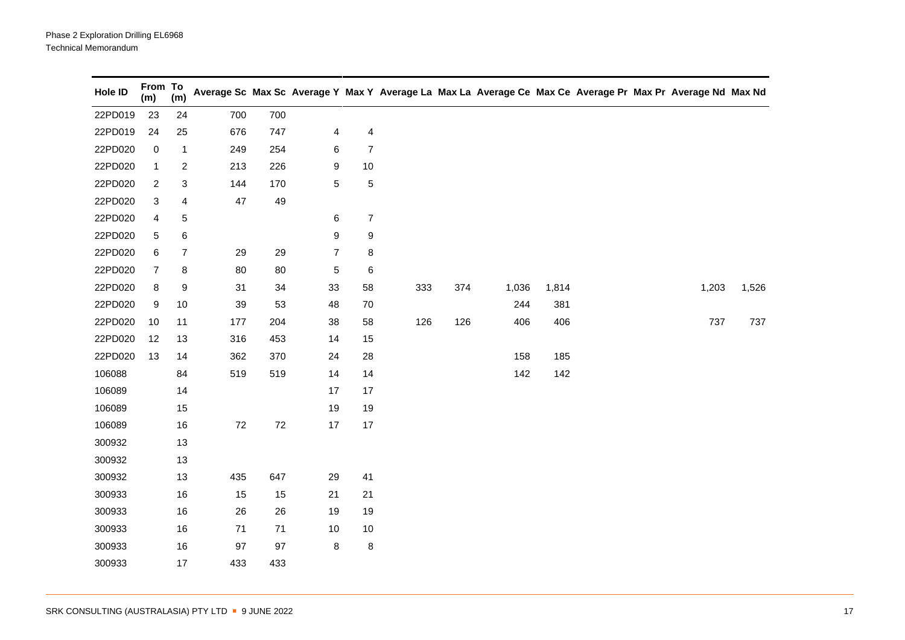| Hole ID | From To<br>(m)   | (m)              |        |        |                |                          |     |     | Average Sc Max Sc Average Y Max Y Average La Max La Average Ce Max Ce Average Pr Max Pr Average Nd Max Nd |       |  |       |       |
|---------|------------------|------------------|--------|--------|----------------|--------------------------|-----|-----|-----------------------------------------------------------------------------------------------------------|-------|--|-------|-------|
| 22PD019 | 23               | 24               | 700    | 700    |                |                          |     |     |                                                                                                           |       |  |       |       |
| 22PD019 | 24               | 25               | 676    | 747    | 4              | $\overline{\mathbf{4}}$  |     |     |                                                                                                           |       |  |       |       |
| 22PD020 | $\boldsymbol{0}$ | $\mathbf{1}$     | 249    | 254    | 6              | $\overline{7}$           |     |     |                                                                                                           |       |  |       |       |
| 22PD020 | $\mathbf{1}$     | $\overline{c}$   | 213    | 226    | 9              | $10$                     |     |     |                                                                                                           |       |  |       |       |
| 22PD020 | $\overline{2}$   | 3                | 144    | 170    | 5              | $\,$ 5 $\,$              |     |     |                                                                                                           |       |  |       |       |
| 22PD020 | 3                | 4                | 47     | 49     |                |                          |     |     |                                                                                                           |       |  |       |       |
| 22PD020 | 4                | 5                |        |        | 6              | $\overline{\mathcal{I}}$ |     |     |                                                                                                           |       |  |       |       |
| 22PD020 | 5                | 6                |        |        | 9              | $\boldsymbol{9}$         |     |     |                                                                                                           |       |  |       |       |
| 22PD020 | 6                | $\boldsymbol{7}$ | 29     | 29     | $\overline{7}$ | 8                        |     |     |                                                                                                           |       |  |       |       |
| 22PD020 | $\overline{7}$   | 8                | 80     | 80     | 5              | 6                        |     |     |                                                                                                           |       |  |       |       |
| 22PD020 | 8                | 9                | 31     | 34     | 33             | 58                       | 333 | 374 | 1,036                                                                                                     | 1,814 |  | 1,203 | 1,526 |
| 22PD020 | 9                | $10$             | 39     | 53     | 48             | 70                       |     |     | 244                                                                                                       | 381   |  |       |       |
| 22PD020 | 10               | 11               | 177    | 204    | 38             | 58                       | 126 | 126 | 406                                                                                                       | 406   |  | 737   | 737   |
| 22PD020 | 12               | 13               | 316    | 453    | 14             | 15                       |     |     |                                                                                                           |       |  |       |       |
| 22PD020 | 13               | 14               | 362    | 370    | 24             | 28                       |     |     | 158                                                                                                       | 185   |  |       |       |
| 106088  |                  | 84               | 519    | 519    | 14             | 14                       |     |     | 142                                                                                                       | 142   |  |       |       |
| 106089  |                  | 14               |        |        | 17             | 17                       |     |     |                                                                                                           |       |  |       |       |
| 106089  |                  | 15               |        |        | 19             | 19                       |     |     |                                                                                                           |       |  |       |       |
| 106089  |                  | $16$             | $72\,$ | $72\,$ | $17\,$         | $17$                     |     |     |                                                                                                           |       |  |       |       |
| 300932  |                  | 13               |        |        |                |                          |     |     |                                                                                                           |       |  |       |       |
| 300932  |                  | 13               |        |        |                |                          |     |     |                                                                                                           |       |  |       |       |
| 300932  |                  | 13               | 435    | 647    | 29             | 41                       |     |     |                                                                                                           |       |  |       |       |
| 300933  |                  | 16               | 15     | 15     | 21             | 21                       |     |     |                                                                                                           |       |  |       |       |
| 300933  |                  | $16\,$           | 26     | $26\,$ | 19             | 19                       |     |     |                                                                                                           |       |  |       |       |
| 300933  |                  | 16               | 71     | 71     | $10$           | $10$                     |     |     |                                                                                                           |       |  |       |       |
| 300933  |                  | $16\,$           | 97     | 97     | 8              | 8                        |     |     |                                                                                                           |       |  |       |       |
| 300933  |                  | 17               | 433    | 433    |                |                          |     |     |                                                                                                           |       |  |       |       |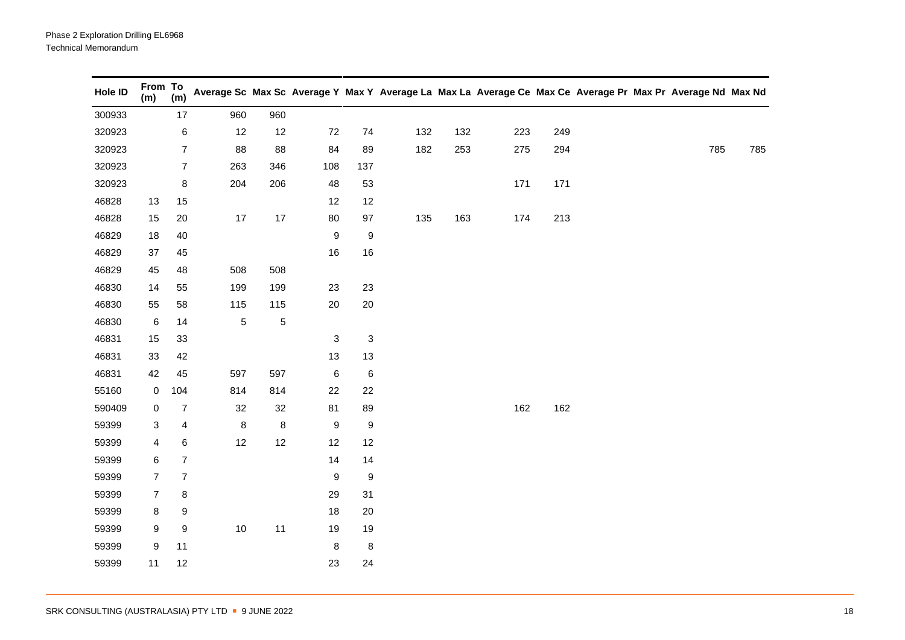| Hole ID | From To<br>(m)            | (m)                     |             |      |        |                  |     |     | Average Sc Max Sc Average Y Max Y Average La Max La Average Ce Max Ce Average Pr Max Pr Average Nd Max Nd |     |  |     |     |
|---------|---------------------------|-------------------------|-------------|------|--------|------------------|-----|-----|-----------------------------------------------------------------------------------------------------------|-----|--|-----|-----|
| 300933  |                           | 17                      | 960         | 960  |        |                  |     |     |                                                                                                           |     |  |     |     |
| 320923  |                           | 6                       | $12$        | $12$ | 72     | 74               | 132 | 132 | 223                                                                                                       | 249 |  |     |     |
| 320923  |                           | $\boldsymbol{7}$        | 88          | 88   | 84     | 89               | 182 | 253 | 275                                                                                                       | 294 |  | 785 | 785 |
| 320923  |                           | $\boldsymbol{7}$        | 263         | 346  | 108    | 137              |     |     |                                                                                                           |     |  |     |     |
| 320923  |                           | $\bf 8$                 | 204         | 206  | 48     | 53               |     |     | 171                                                                                                       | 171 |  |     |     |
| 46828   | 13                        | 15                      |             |      | 12     | 12               |     |     |                                                                                                           |     |  |     |     |
| 46828   | 15                        | 20                      | $17$        | 17   | 80     | 97               | 135 | 163 | 174                                                                                                       | 213 |  |     |     |
| 46829   | 18                        | 40                      |             |      | 9      | $\boldsymbol{9}$ |     |     |                                                                                                           |     |  |     |     |
| 46829   | 37                        | 45                      |             |      | $16\,$ | $16\,$           |     |     |                                                                                                           |     |  |     |     |
| 46829   | 45                        | 48                      | 508         | 508  |        |                  |     |     |                                                                                                           |     |  |     |     |
| 46830   | 14                        | 55                      | 199         | 199  | 23     | 23               |     |     |                                                                                                           |     |  |     |     |
| 46830   | 55                        | 58                      | 115         | 115  | 20     | $20\,$           |     |     |                                                                                                           |     |  |     |     |
| 46830   | $\,6$                     | 14                      | $\,$ 5 $\,$ | 5    |        |                  |     |     |                                                                                                           |     |  |     |     |
| 46831   | 15                        | 33                      |             |      | 3      | 3                |     |     |                                                                                                           |     |  |     |     |
| 46831   | 33                        | 42                      |             |      | 13     | 13               |     |     |                                                                                                           |     |  |     |     |
| 46831   | 42                        | 45                      | 597         | 597  | 6      | $\,6\,$          |     |     |                                                                                                           |     |  |     |     |
| 55160   | $\mathsf{O}$              | 104                     | 814         | 814  | 22     | 22               |     |     |                                                                                                           |     |  |     |     |
| 590409  | 0                         | $\overline{7}$          | 32          | 32   | 81     | 89               |     |     | 162                                                                                                       | 162 |  |     |     |
| 59399   | $\ensuremath{\mathsf{3}}$ | $\overline{\mathbf{4}}$ | $\,$ 8 $\,$ | 8    | 9      | 9                |     |     |                                                                                                           |     |  |     |     |
| 59399   | 4                         | 6                       | 12          | 12   | 12     | 12               |     |     |                                                                                                           |     |  |     |     |
| 59399   | $\,6\,$                   | $\boldsymbol{7}$        |             |      | $14$   | $14$             |     |     |                                                                                                           |     |  |     |     |
| 59399   | $\overline{7}$            | $\overline{7}$          |             |      | 9      | 9                |     |     |                                                                                                           |     |  |     |     |
| 59399   | $\overline{7}$            | $\bf 8$                 |             |      | 29     | 31               |     |     |                                                                                                           |     |  |     |     |
| 59399   | $\bf 8$                   | 9                       |             |      | $18$   | 20               |     |     |                                                                                                           |     |  |     |     |
| 59399   | 9                         | 9                       | $10$        | 11   | 19     | 19               |     |     |                                                                                                           |     |  |     |     |
| 59399   | 9                         | 11                      |             |      | 8      | 8                |     |     |                                                                                                           |     |  |     |     |
| 59399   | 11                        | 12                      |             |      | 23     | 24               |     |     |                                                                                                           |     |  |     |     |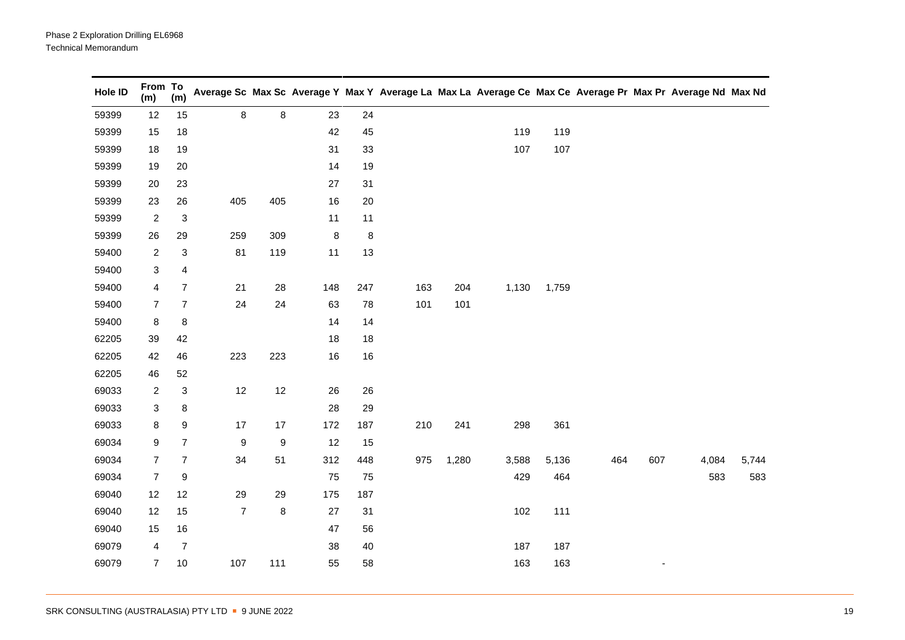| Hole ID | From To<br>(m)          | (m)                       |                  |                  |         |         |     |       |       |       |     |                          | Average Sc Max Sc Average Y Max Y Average La Max La Average Ce Max Ce Average Pr Max Pr Average Nd Max Nd |       |
|---------|-------------------------|---------------------------|------------------|------------------|---------|---------|-----|-------|-------|-------|-----|--------------------------|-----------------------------------------------------------------------------------------------------------|-------|
| 59399   | 12                      | 15                        | $\bf 8$          | 8                | 23      | 24      |     |       |       |       |     |                          |                                                                                                           |       |
| 59399   | 15                      | 18                        |                  |                  | 42      | 45      |     |       | 119   | 119   |     |                          |                                                                                                           |       |
| 59399   | 18                      | 19                        |                  |                  | 31      | 33      |     |       | 107   | 107   |     |                          |                                                                                                           |       |
| 59399   | 19                      | $20\,$                    |                  |                  | 14      | 19      |     |       |       |       |     |                          |                                                                                                           |       |
| 59399   | 20                      | 23                        |                  |                  | 27      | 31      |     |       |       |       |     |                          |                                                                                                           |       |
| 59399   | 23                      | 26                        | 405              | 405              | 16      | $20\,$  |     |       |       |       |     |                          |                                                                                                           |       |
| 59399   | $\overline{c}$          | $\ensuremath{\mathsf{3}}$ |                  |                  | 11      | 11      |     |       |       |       |     |                          |                                                                                                           |       |
| 59399   | 26                      | 29                        | 259              | 309              | $\bf 8$ | $\,8\,$ |     |       |       |       |     |                          |                                                                                                           |       |
| 59400   | $\overline{c}$          | 3                         | 81               | 119              | 11      | 13      |     |       |       |       |     |                          |                                                                                                           |       |
| 59400   | 3                       | 4                         |                  |                  |         |         |     |       |       |       |     |                          |                                                                                                           |       |
| 59400   | $\overline{\mathbf{4}}$ | $\boldsymbol{7}$          | 21               | 28               | 148     | 247     | 163 | 204   | 1,130 | 1,759 |     |                          |                                                                                                           |       |
| 59400   | $\overline{7}$          | $\overline{7}$            | 24               | 24               | 63      | 78      | 101 | 101   |       |       |     |                          |                                                                                                           |       |
| 59400   | 8                       | 8                         |                  |                  | 14      | 14      |     |       |       |       |     |                          |                                                                                                           |       |
| 62205   | 39                      | 42                        |                  |                  | 18      | 18      |     |       |       |       |     |                          |                                                                                                           |       |
| 62205   | 42                      | 46                        | 223              | 223              | 16      | 16      |     |       |       |       |     |                          |                                                                                                           |       |
| 62205   | 46                      | 52                        |                  |                  |         |         |     |       |       |       |     |                          |                                                                                                           |       |
| 69033   | $\overline{c}$          | $\ensuremath{\mathsf{3}}$ | $12$             | 12               | 26      | 26      |     |       |       |       |     |                          |                                                                                                           |       |
| 69033   | 3                       | 8                         |                  |                  | 28      | 29      |     |       |       |       |     |                          |                                                                                                           |       |
| 69033   | 8                       | 9                         | 17               | 17               | 172     | 187     | 210 | 241   | 298   | 361   |     |                          |                                                                                                           |       |
| 69034   | 9                       | $\boldsymbol{7}$          | $\boldsymbol{9}$ | $\boldsymbol{9}$ | 12      | 15      |     |       |       |       |     |                          |                                                                                                           |       |
| 69034   | $\overline{7}$          | $\overline{7}$            | 34               | 51               | 312     | 448     | 975 | 1,280 | 3,588 | 5,136 | 464 | 607                      | 4,084                                                                                                     | 5,744 |
| 69034   | $\overline{7}$          | 9                         |                  |                  | 75      | 75      |     |       | 429   | 464   |     |                          | 583                                                                                                       | 583   |
| 69040   | 12                      | 12                        | 29               | 29               | 175     | 187     |     |       |       |       |     |                          |                                                                                                           |       |
| 69040   | 12                      | 15                        | $\overline{7}$   | 8                | 27      | 31      |     |       | 102   | 111   |     |                          |                                                                                                           |       |
| 69040   | 15                      | 16                        |                  |                  | 47      | 56      |     |       |       |       |     |                          |                                                                                                           |       |
| 69079   | 4                       | $\boldsymbol{7}$          |                  |                  | 38      | 40      |     |       | 187   | 187   |     |                          |                                                                                                           |       |
| 69079   | $\overline{7}$          | $10$                      | 107              | 111              | 55      | 58      |     |       | 163   | 163   |     | $\overline{\phantom{a}}$ |                                                                                                           |       |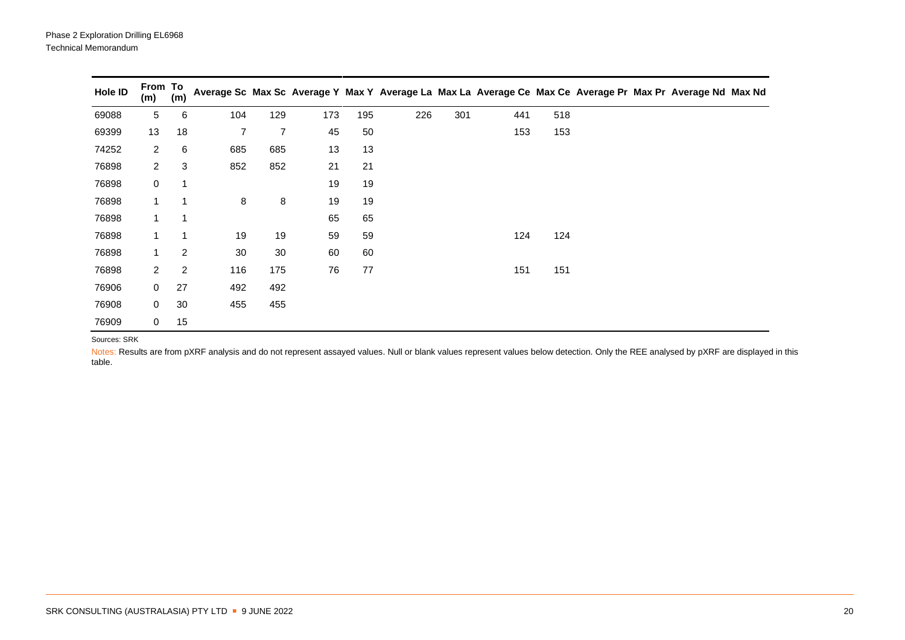| Hole ID | From To<br>(m) | (m)            |     |     |     |     |     |     | Average Sc Max Sc Average Y Max Y Average La Max La Average Ce Max Ce Average Pr Max Pr Average Nd Max Nd |     |  |  |
|---------|----------------|----------------|-----|-----|-----|-----|-----|-----|-----------------------------------------------------------------------------------------------------------|-----|--|--|
| 69088   | 5              | 6              | 104 | 129 | 173 | 195 | 226 | 301 | 441                                                                                                       | 518 |  |  |
| 69399   | 13             | 18             | 7   | 7   | 45  | 50  |     |     | 153                                                                                                       | 153 |  |  |
| 74252   | $\overline{2}$ | 6              | 685 | 685 | 13  | 13  |     |     |                                                                                                           |     |  |  |
| 76898   | $\overline{2}$ | 3              | 852 | 852 | 21  | 21  |     |     |                                                                                                           |     |  |  |
| 76898   | 0              | $\mathbf 1$    |     |     | 19  | 19  |     |     |                                                                                                           |     |  |  |
| 76898   | $\mathbf{1}$   | $\mathbf{1}$   | 8   | 8   | 19  | 19  |     |     |                                                                                                           |     |  |  |
| 76898   | 1.             | 1              |     |     | 65  | 65  |     |     |                                                                                                           |     |  |  |
| 76898   | 1.             | 1              | 19  | 19  | 59  | 59  |     |     | 124                                                                                                       | 124 |  |  |
| 76898   | 1.             | $\overline{2}$ | 30  | 30  | 60  | 60  |     |     |                                                                                                           |     |  |  |
| 76898   | $\overline{2}$ | $\overline{c}$ | 116 | 175 | 76  | 77  |     |     | 151                                                                                                       | 151 |  |  |
| 76906   | 0              | 27             | 492 | 492 |     |     |     |     |                                                                                                           |     |  |  |
| 76908   | 0              | 30             | 455 | 455 |     |     |     |     |                                                                                                           |     |  |  |
| 76909   | 0              | 15             |     |     |     |     |     |     |                                                                                                           |     |  |  |

#### Sources: SRK

Notes: Results are from pXRF analysis and do not represent assayed values. Null or blank values represent values below detection. Only the REE analysed by pXRF are displayed in this table.